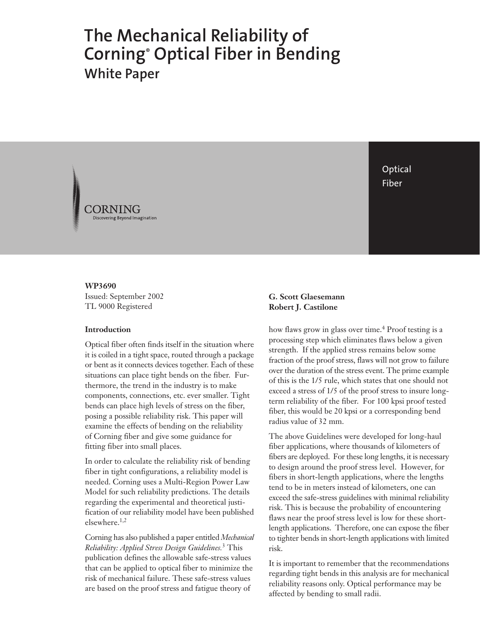# **The Mechanical Reliability of Corning® Optical Fiber in Bending White Paper**

**Optical** Fiber

**WP3690** Issued: September 2002 TL 9000 Registered

#### **Introduction**

Optical fiber often finds itself in the situation where it is coiled in a tight space, routed through a package or bent as it connects devices together. Each of these situations can place tight bends on the fiber. Furthermore, the trend in the industry is to make components, connections, etc. ever smaller. Tight bends can place high levels of stress on the fiber, posing a possible reliability risk. This paper will examine the effects of bending on the reliability of Corning fiber and give some guidance for fitting fiber into small places.

In order to calculate the reliability risk of bending fiber in tight configurations, a reliability model is needed. Corning uses a Multi-Region Power Law Model for such reliability predictions. The details regarding the experimental and theoretical justification of our reliability model have been published elsewhere.1,2

Corning has also published a paper entitled *Mechanical Reliability: Applied Stress Design Guidelines.*3 This publication defines the allowable safe-stress values that can be applied to optical fiber to minimize the risk of mechanical failure. These safe-stress values are based on the proof stress and fatigue theory of

## **G. Scott Glaesemann Robert J. Castilone**

how flaws grow in glass over time.<sup>4</sup> Proof testing is a processing step which eliminates flaws below a given strength. If the applied stress remains below some fraction of the proof stress, flaws will not grow to failure over the duration of the stress event. The prime example of this is the 1/5 rule, which states that one should not exceed a stress of 1/5 of the proof stress to insure longterm reliability of the fiber. For 100 kpsi proof tested fiber, this would be 20 kpsi or a corresponding bend radius value of 32 mm.

The above Guidelines were developed for long-haul fiber applications, where thousands of kilometers of fibers are deployed. For these long lengths, it is necessary to design around the proof stress level. However, for fibers in short-length applications, where the lengths tend to be in meters instead of kilometers, one can exceed the safe-stress guidelines with minimal reliability risk. This is because the probability of encountering flaws near the proof stress level is low for these shortlength applications. Therefore, one can expose the fiber to tighter bends in short-length applications with limited risk.

It is important to remember that the recommendations regarding tight bends in this analysis are for mechanical reliability reasons only. Optical performance may be affected by bending to small radii.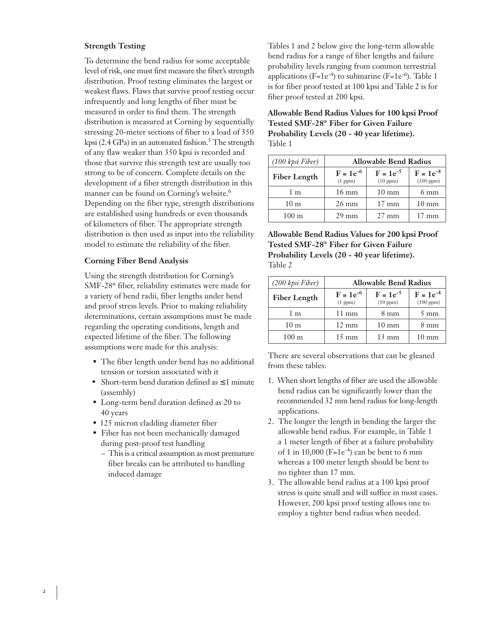## **Strength Testing**

To determine the bend radius for some acceptable level of risk, one must first measure the fiber's strength distribution. Proof testing eliminates the largest or weakest flaws. Flaws that survive proof testing occur infrequently and long lengths of fiber must be measured in order to find them. The strength distribution is measured at Corning by sequentially stressing 20-meter sections of fiber to a load of 350 kpsi (2.4 GPa) in an automated fashion.<sup>5</sup> The strength of any flaw weaker than 350 kpsi is recorded and those that survive this strength test are usually too strong to be of concern. Complete details on the development of a fiber strength distribution in this manner can be found on Corning's website.6 Depending on the fiber type, strength distributions are established using hundreds or even thousands of kilometers of fiber. The appropriate strength distribution is then used as input into the reliability model to estimate the reliability of the fiber.

#### **Corning Fiber Bend Analysis**

Using the strength distribution for Corning's SMF-28® fiber, reliability estimates were made for a variety of bend radii, fiber lengths under bend and proof stress levels. Prior to making reliability determinations, certain assumptions must be made regarding the operating conditions, length and expected lifetime of the fiber. The following assumptions were made for this analysis:

- The fiber length under bend has no additional tension or torsion associated with it
- Short-term bend duration defined as ≤ 1 minute (assembly)
- Long-term bend duration defined as 20 to 40 years
- 125 micron cladding diameter fiber
- Fiber has not been mechanically damaged during post-proof test handling
	- This is a critical assumption as most premature fiber breaks can be attributed to handling induced damage

Tables 1 and 2 below give the long-term allowable bend radius for a range of fiber lengths and failure probability levels ranging from common terrestrial applications ( $F=1e^{-4}$ ) to submarine ( $F=1e^{-6}$ ). Table 1 is for fiber proof tested at 100 kpsi and Table 2 is for fiber proof tested at 200 kpsi.

**Allowable Bend Radius Values for 100 kpsi Proof Tested SMF-28® Fiber for Given Failure Probability Levels (20 - 40 year lifetime).** Table 1

| (100 kpsi Fiber)    | <b>Allowable Bend Radius</b>       |                           |                                 |
|---------------------|------------------------------------|---------------------------|---------------------------------|
| <b>Fiber Length</b> | $F = 1e^{-6}$<br>(1 ppm)           | $F = 1e^{-5}$<br>(10 ppm) | $F = 1e^{-4}$<br>$(100$ ppm $)$ |
| 1 <sub>m</sub>      | $16 \text{ mm}$                    | $10 \text{ mm}$           | $6 \text{ mm}$                  |
| 10 <sub>m</sub>     | $26 \text{ mm}$<br>$17 \text{ mm}$ |                           | $10 \text{ mm}$                 |
| $100 \text{ m}$     | $29 \text{ mm}$                    | $27 \text{ mm}$           | $17 \text{ mm}$                 |

**Allowable Bend Radius Values for 200 kpsi Proof Tested SMF-28® Fiber for Given Failure Probability Levels (20 - 40 year lifetime).** Table 2

| (200 kpsi Fiber)    | <b>Allowable Bend Radius</b> |                           |                                 |
|---------------------|------------------------------|---------------------------|---------------------------------|
| <b>Fiber Length</b> | $F = 1e^{-6}$<br>(1 ppm)     | $F = 1e^{-5}$<br>(10 ppm) | $F = 1e^{-4}$<br>$(100$ ppm $)$ |
| 1 <sub>m</sub>      | $11 \text{ mm}$              | $8 \text{ mm}$            | $5 \text{ mm}$                  |
| 10 <sub>m</sub>     | $12 \text{ mm}$              | $10 \text{ mm}$           | $8 \text{ mm}$                  |
| $100 \text{ m}$     | $15 \text{ mm}$              | $13 \text{ mm}$           | $10 \text{ mm}$                 |

There are several observations that can be gleaned from these tables:

- 1. When short lengths of fiber are used the allowable bend radius can be significantly lower than the recommended 32 mm bend radius for long-length applications.
- 2. The longer the length in bending the larger the allowable bend radius. For example, in Table 1 a 1 meter length of fiber at a failure probability of 1 in 10,000 ( $F=1e^{-4}$ ) can be bent to 6 mm whereas a 100 meter length should be bent to no tighter than 17 mm.
- 3. The allowable bend radius at a 100 kpsi proof stress is quite small and will suffice in most cases. However, 200 kpsi proof testing allows one to employ a tighter bend radius when needed.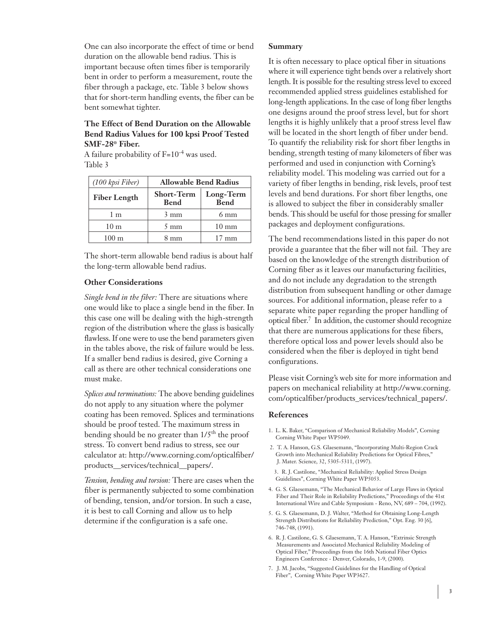One can also incorporate the effect of time or bend duration on the allowable bend radius. This is important because often times fiber is temporarily bent in order to perform a measurement, route the fiber through a package, etc. Table 3 below shows that for short-term handling events, the fiber can be bent somewhat tighter.

## **The Effect of Bend Duration on the Allowable Bend Radius Values for 100 kpsi Proof Tested SMF-28® Fiber.**

A failure probability of F=10-4 was used. Table 3

| (100 kpsi Fiber)    | <b>Allowable Bend Radius</b>     |                   |  |
|---------------------|----------------------------------|-------------------|--|
| <b>Fiber Length</b> | <b>Short-Term</b><br><b>Bend</b> | Long-Term<br>Bend |  |
| 1 <sub>m</sub>      | $3 \text{ mm}$                   | $6 \text{ mm}$    |  |
| 10 <sub>m</sub>     | $5 \text{ mm}$                   | $10 \text{ mm}$   |  |
| $100 \text{ m}$     | 8 mm                             | $17 \text{ mm}$   |  |

The short-term allowable bend radius is about half the long-term allowable bend radius.

## **Other Considerations**

*Single bend in the fiber:* There are situations where one would like to place a single bend in the fiber. In this case one will be dealing with the high-strength region of the distribution where the glass is basically flawless. If one were to use the bend parameters given in the tables above, the risk of failure would be less. If a smaller bend radius is desired, give Corning a call as there are other technical considerations one must make.

*Splices and terminations:* The above bending guidelines do not apply to any situation where the polymer coating has been removed. Splices and terminations should be proof tested. The maximum stress in bending should be no greater than  $1/5<sup>th</sup>$  the proof stress. To convert bend radius to stress, see our calculator at: http://www.corning.com/opticalfiber/ products\_\_services/technical\_\_papers/.

*Tension, bending and torsion:* There are cases when the fiber is permanently subjected to some combination of bending, tension, and/or torsion. In such a case, it is best to call Corning and allow us to help determine if the configuration is a safe one.

### **Summary**

It is often necessary to place optical fiber in situations where it will experience tight bends over a relatively short length. It is possible for the resulting stress level to exceed recommended applied stress guidelines established for long-length applications. In the case of long fiber lengths one designs around the proof stress level, but for short lengths it is highly unlikely that a proof stress level flaw will be located in the short length of fiber under bend. To quantify the reliability risk for short fiber lengths in bending, strength testing of many kilometers of fiber was performed and used in conjunction with Corning's reliability model. This modeling was carried out for a variety of fiber lengths in bending, risk levels, proof test levels and bend durations. For short fiber lengths, one is allowed to subject the fiber in considerably smaller bends. This should be useful for those pressing for smaller packages and deployment configurations.

The bend recommendations listed in this paper do not provide a guarantee that the fiber will not fail. They are based on the knowledge of the strength distribution of Corning fiber as it leaves our manufacturing facilities, and do not include any degradation to the strength distribution from subsequent handling or other damage sources. For additional information, please refer to a separate white paper regarding the proper handling of optical fiber.<sup>7</sup> In addition, the customer should recognize that there are numerous applications for these fibers, therefore optical loss and power levels should also be considered when the fiber is deployed in tight bend configurations.

Please visit Corning's web site for more information and papers on mechanical reliability at http://www.corning. com/opticalfiber/products\_services/technical\_papers/.

#### **References**

- 1. L. K. Baker, "Comparison of Mechanical Reliability Models", Corning Corning White Paper WP5049.
- 2. T. A. Hanson, G.S. Glaesemann, "Incorporating Multi-Region Crack Growth into Mechanical Reliability Predictions for Optical Fibres," J. Mater. Science, 32, 5305-5311, (1997).
- 3. R. J. Castilone, "Mechanical Reliability: Applied Stress Design Guidelines", Corning White Paper WP5053.
- 4. G. S. Glaesemann, "The Mechanical Behavior of Large Flaws in Optical Fiber and Their Role in Reliability Predictions," Proceedings of the 41st International Wire and Cable Symposium - Reno, NV, 689 – 704, (1992).
- 5. G. S. Glaesemann, D. J. Walter, "Method for Obtaining Long-Length Strength Distributions for Reliability Prediction," Opt. Eng. 30 [6], 746-748, (1991).
- 6. R. J. Castilone, G. S. Glaesemann, T. A. Hanson, "Extrinsic Strength Measurements and Associated Mechanical Reliability Modeling of Optical Fiber," Proceedings from the 16th National Fiber Optics Engineers Conference - Denver, Colorado, 1-9, (2000).
- 7. J. M. Jacobs, "Suggested Guidelines for the Handling of Optical Fiber", Corning White Paper WP3627.